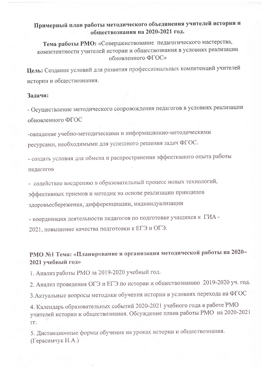## Примерный план работы методического объединения учителей истории и обществознания на 2020-2021 год.

Тема работы РМО: «Совершенствование педагогического мастерства, компетентности учителей истории и обществознания в условиях реализации обновленного ФГОС»

Цель: Создание условий для развития профессиональных компетенций учителей истории и обществознания.

#### Задачи:

- Осуществление методического сопровождения педагогов в условиях реализации обновленного ФГОС

-овладение учебно-методическими и информационно-методическими ресурсами, необходимыми для успешного решения задач ФГОС.

- создать условия для обмена и распространения эффективного опыта работы педагогов

- содействие внедрению в образовательный процесс новых технологий,

эффективных приемов и методик на основе реализации принципов

здоровьесбережения, дифференциации, индивидуализации

- координация деятельности педагогов по подготовке учащихся к ГИА -

2021, повышение качества подготовки к ЕГЭ и ОГЭ.

# РМО №1 Тема: «Планирование и организация методической работы на 2020-2021 учебный год»

1. Анализ работы РМО за 2019-2020 учебный год.

2. Анализ проведения ОГЭ и ЕГЭ по истории и обществознанию 2019-2020 уч. год.

3. Актуальные вопросы методики обучения истории в условиях перехода на ФГОС

4. Календарь образовательных событий 2020-2021 учебного года в работе РМО учителей истории и обществознания. Обсуждение плана работы РМО на 2020-2021 TT.

5. Дистанционные формы обучения на уроках истории и обществознания. (Герасимчук Н.А.)